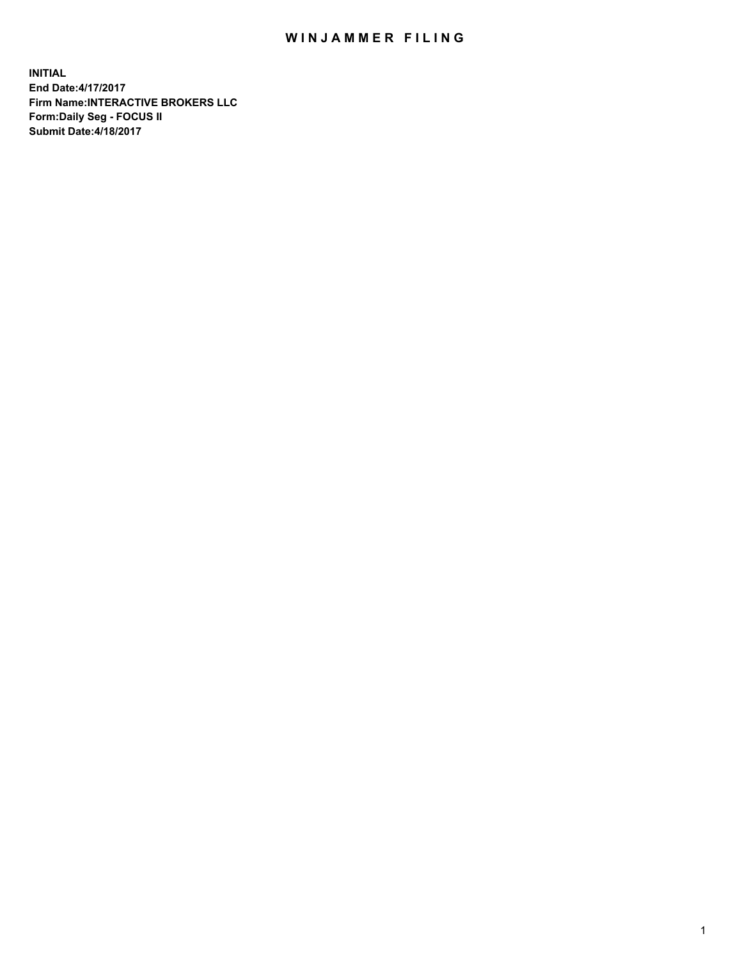## WIN JAMMER FILING

**INITIAL End Date:4/17/2017 Firm Name:INTERACTIVE BROKERS LLC Form:Daily Seg - FOCUS II Submit Date:4/18/2017**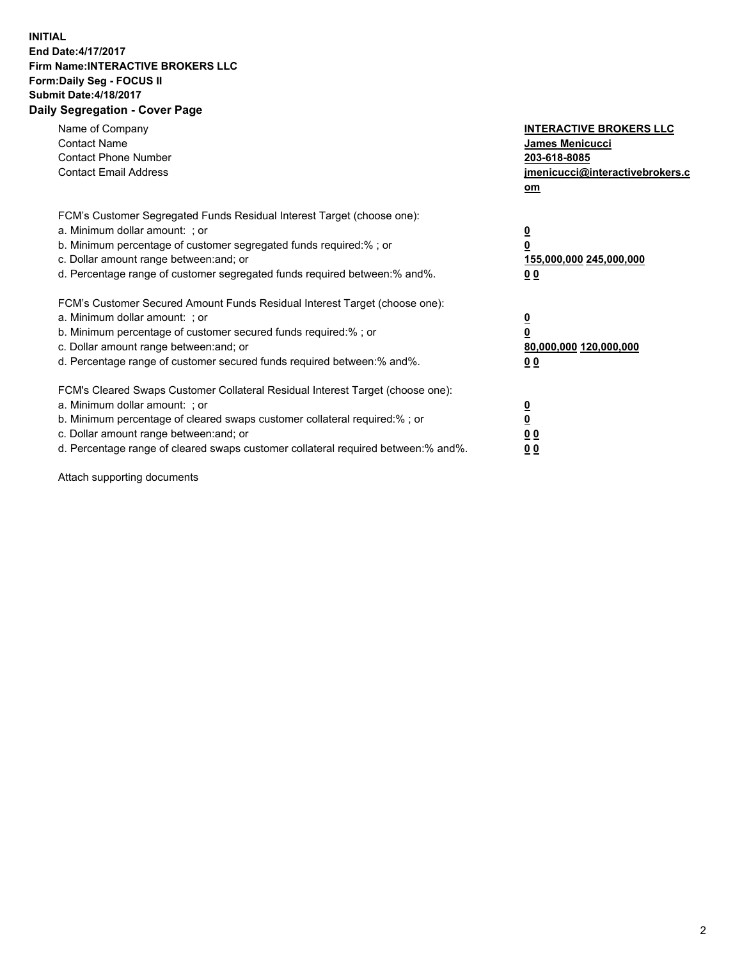## **INITIAL End Date:4/17/2017 Firm Name:INTERACTIVE BROKERS LLC Form:Daily Seg - FOCUS II Submit Date:4/18/2017 Daily Segregation - Cover Page**

| Name of Company<br><b>Contact Name</b><br><b>Contact Phone Number</b><br><b>Contact Email Address</b>                                                                                                                                                                                                                          | <b>INTERACTIVE BROKERS LLC</b><br><b>James Menicucci</b><br>203-618-8085<br>jmenicucci@interactivebrokers.c<br>om |
|--------------------------------------------------------------------------------------------------------------------------------------------------------------------------------------------------------------------------------------------------------------------------------------------------------------------------------|-------------------------------------------------------------------------------------------------------------------|
| FCM's Customer Segregated Funds Residual Interest Target (choose one):<br>a. Minimum dollar amount: ; or<br>b. Minimum percentage of customer segregated funds required:% ; or<br>c. Dollar amount range between: and; or<br>d. Percentage range of customer segregated funds required between: % and %.                       | $\overline{\mathbf{0}}$<br>0<br>155,000,000 245,000,000<br>00                                                     |
| FCM's Customer Secured Amount Funds Residual Interest Target (choose one):<br>a. Minimum dollar amount: ; or<br>b. Minimum percentage of customer secured funds required:%; or<br>c. Dollar amount range between: and; or<br>d. Percentage range of customer secured funds required between: % and %.                          | $\overline{\mathbf{0}}$<br>0<br>80,000,000 120,000,000<br>00                                                      |
| FCM's Cleared Swaps Customer Collateral Residual Interest Target (choose one):<br>a. Minimum dollar amount: ; or<br>b. Minimum percentage of cleared swaps customer collateral required:% ; or<br>c. Dollar amount range between: and; or<br>d. Percentage range of cleared swaps customer collateral required between:% and%. | $\overline{\mathbf{0}}$<br>$\overline{\mathbf{0}}$<br>00<br>0 <sub>0</sub>                                        |

Attach supporting documents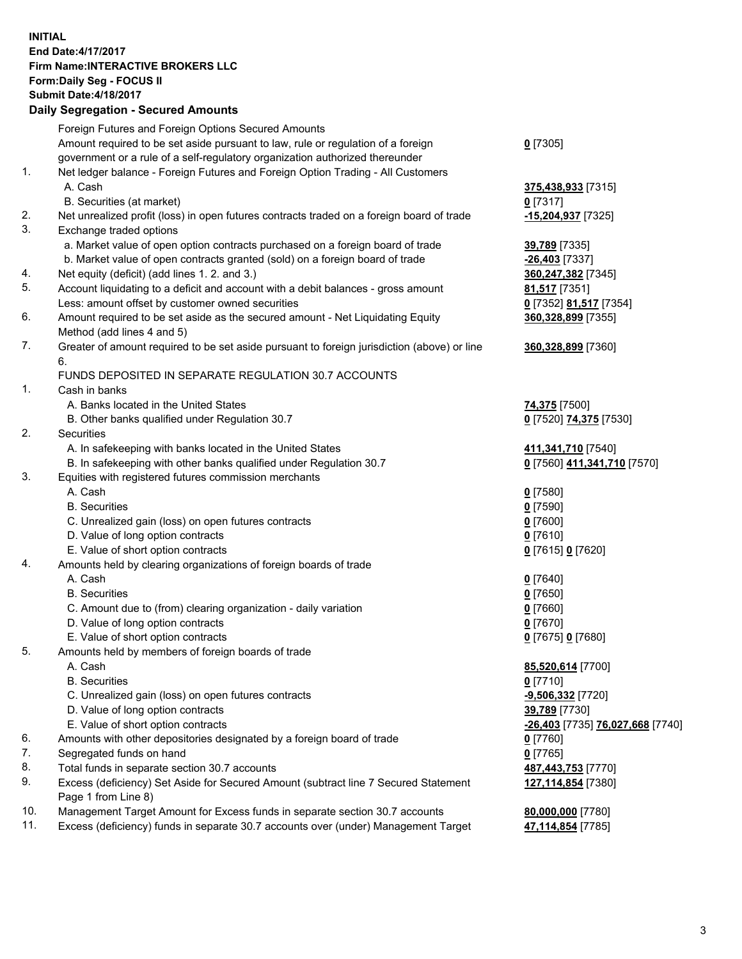## **INITIAL End Date:4/17/2017 Firm Name:INTERACTIVE BROKERS LLC Form:Daily Seg - FOCUS II Submit Date:4/18/2017**<br>**Daily Segregation - Secured Amounts Daily Segregation - Secured**

|     | Daily Segregation - Secured Amounts                                                         |                                  |
|-----|---------------------------------------------------------------------------------------------|----------------------------------|
|     | Foreign Futures and Foreign Options Secured Amounts                                         |                                  |
|     | Amount required to be set aside pursuant to law, rule or regulation of a foreign            | $0$ [7305]                       |
|     | government or a rule of a self-regulatory organization authorized thereunder                |                                  |
| 1.  | Net ledger balance - Foreign Futures and Foreign Option Trading - All Customers             |                                  |
|     | A. Cash                                                                                     | 375,438,933 [7315]               |
|     | B. Securities (at market)                                                                   | $0$ [7317]                       |
| 2.  | Net unrealized profit (loss) in open futures contracts traded on a foreign board of trade   |                                  |
| 3.  |                                                                                             | -15,204,937 [7325]               |
|     | Exchange traded options                                                                     |                                  |
|     | a. Market value of open option contracts purchased on a foreign board of trade              | 39,789 [7335]                    |
|     | b. Market value of open contracts granted (sold) on a foreign board of trade                | -26,403 [7337]                   |
| 4.  | Net equity (deficit) (add lines 1.2. and 3.)                                                | 360,247,382 [7345]               |
| 5.  | Account liquidating to a deficit and account with a debit balances - gross amount           | 81,517 [7351]                    |
|     | Less: amount offset by customer owned securities                                            | 0 [7352] 81,517 [7354]           |
| 6.  | Amount required to be set aside as the secured amount - Net Liquidating Equity              | 360,328,899 [7355]               |
|     | Method (add lines 4 and 5)                                                                  |                                  |
| 7.  | Greater of amount required to be set aside pursuant to foreign jurisdiction (above) or line | 360,328,899 [7360]               |
|     | 6.                                                                                          |                                  |
|     | <b>FUNDS DEPOSITED IN SEPARATE REGULATION 30.7 ACCOUNTS</b>                                 |                                  |
| 1.  | Cash in banks                                                                               |                                  |
|     | A. Banks located in the United States                                                       | 74,375 [7500]                    |
|     | B. Other banks qualified under Regulation 30.7                                              | 0 [7520] 74,375 [7530]           |
| 2.  | Securities                                                                                  |                                  |
|     | A. In safekeeping with banks located in the United States                                   | 411,341,710 [7540]               |
|     | B. In safekeeping with other banks qualified under Regulation 30.7                          | 0 [7560] 411,341,710 [7570]      |
| 3.  | Equities with registered futures commission merchants                                       |                                  |
|     | A. Cash                                                                                     | $0$ [7580]                       |
|     | <b>B.</b> Securities                                                                        | $0$ [7590]                       |
|     | C. Unrealized gain (loss) on open futures contracts                                         | $0$ [7600]                       |
|     | D. Value of long option contracts                                                           | $0$ [7610]                       |
|     | E. Value of short option contracts                                                          | 0 [7615] 0 [7620]                |
| 4.  | Amounts held by clearing organizations of foreign boards of trade                           |                                  |
|     | A. Cash                                                                                     | $0$ [7640]                       |
|     | <b>B.</b> Securities                                                                        | $0$ [7650]                       |
|     | C. Amount due to (from) clearing organization - daily variation                             | $0$ [7660]                       |
|     | D. Value of long option contracts                                                           | $0$ [7670]                       |
|     | E. Value of short option contracts                                                          | 0 [7675] 0 [7680]                |
| 5.  | Amounts held by members of foreign boards of trade                                          |                                  |
|     | A. Cash                                                                                     | 85,520,614 [7700]                |
|     | <b>B.</b> Securities                                                                        | $0$ [7710]                       |
|     | C. Unrealized gain (loss) on open futures contracts                                         | -9,506,332 [7720]                |
|     | D. Value of long option contracts                                                           | 39,789 [7730]                    |
|     | E. Value of short option contracts                                                          | -26,403 [7735] 76,027,668 [7740] |
| 6.  | Amounts with other depositories designated by a foreign board of trade                      | $0$ [7760]                       |
| 7.  | Segregated funds on hand                                                                    | $0$ [7765]                       |
| 8.  | Total funds in separate section 30.7 accounts                                               | 487,443,753 [7770]               |
| 9.  | Excess (deficiency) Set Aside for Secured Amount (subtract line 7 Secured Statement         | 127,114,854 [7380]               |
|     | Page 1 from Line 8)                                                                         |                                  |
| 10. | Management Target Amount for Excess funds in separate section 30.7 accounts                 | 80,000,000 [7780]                |
| 11. | Excess (deficiency) funds in separate 30.7 accounts over (under) Management Target          | 47,114,854 [7785]                |
|     |                                                                                             |                                  |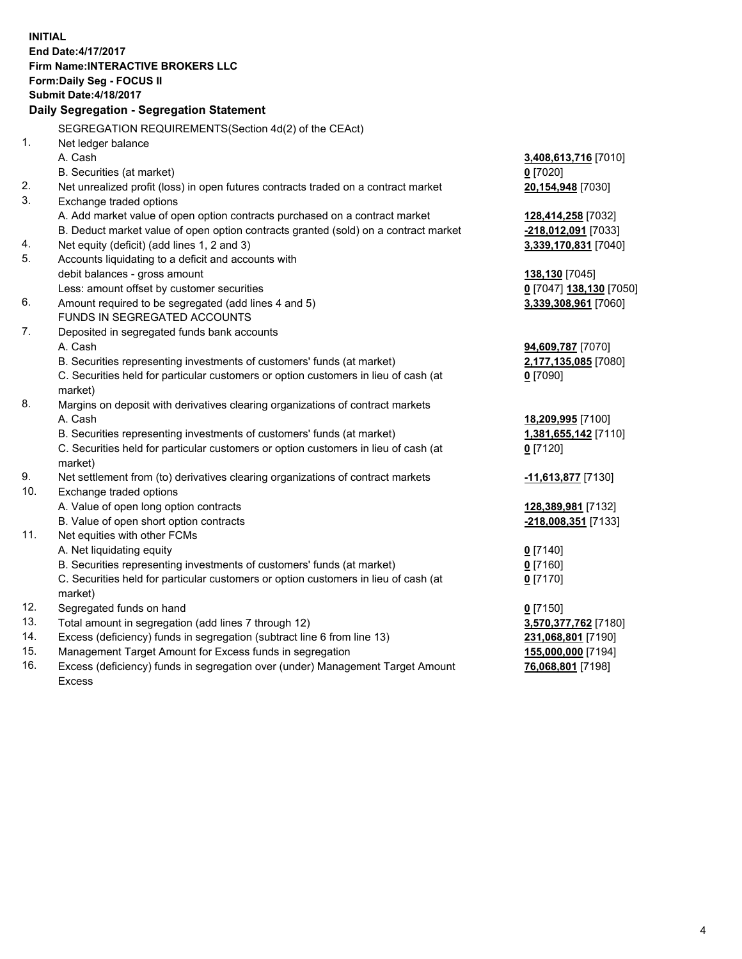**INITIAL End Date:4/17/2017 Firm Name:INTERACTIVE BROKERS LLC Form:Daily Seg - FOCUS II Submit Date:4/18/2017 Daily Segregation - Segregation Statement** SEGREGATION REQUIREMENTS(Section 4d(2) of the CEAct) 1. Net ledger balance A. Cash **3,408,613,716** [7010] B. Securities (at market) **0** [7020] 2. Net unrealized profit (loss) in open futures contracts traded on a contract market **20,154,948** [7030] 3. Exchange traded options A. Add market value of open option contracts purchased on a contract market **128,414,258** [7032] B. Deduct market value of open option contracts granted (sold) on a contract market **-218,012,091** [7033] 4. Net equity (deficit) (add lines 1, 2 and 3) **3,339,170,831** [7040] 5. Accounts liquidating to a deficit and accounts with debit balances - gross amount **138,130** [7045] Less: amount offset by customer securities **0** [7047] **138,130** [7050] 6. Amount required to be segregated (add lines 4 and 5) **3,339,308,961** [7060] FUNDS IN SEGREGATED ACCOUNTS 7. Deposited in segregated funds bank accounts A. Cash **94,609,787** [7070] B. Securities representing investments of customers' funds (at market) **2,177,135,085** [7080] C. Securities held for particular customers or option customers in lieu of cash (at market) **0** [7090] 8. Margins on deposit with derivatives clearing organizations of contract markets A. Cash **18,209,995** [7100] B. Securities representing investments of customers' funds (at market) **1,381,655,142** [7110] C. Securities held for particular customers or option customers in lieu of cash (at market) **0** [7120] 9. Net settlement from (to) derivatives clearing organizations of contract markets **-11,613,877** [7130] 10. Exchange traded options A. Value of open long option contracts **128,389,981** [7132] B. Value of open short option contracts **-218,008,351** [7133] 11. Net equities with other FCMs A. Net liquidating equity **0** [7140] B. Securities representing investments of customers' funds (at market) **0** [7160] C. Securities held for particular customers or option customers in lieu of cash (at market) **0** [7170] 12. Segregated funds on hand **0** [7150] 13. Total amount in segregation (add lines 7 through 12) **3,570,377,762** [7180] 14. Excess (deficiency) funds in segregation (subtract line 6 from line 13) **231,068,801** [7190] 15. Management Target Amount for Excess funds in segregation **155,000,000** [7194] **76,068,801** [7198]

16. Excess (deficiency) funds in segregation over (under) Management Target Amount Excess